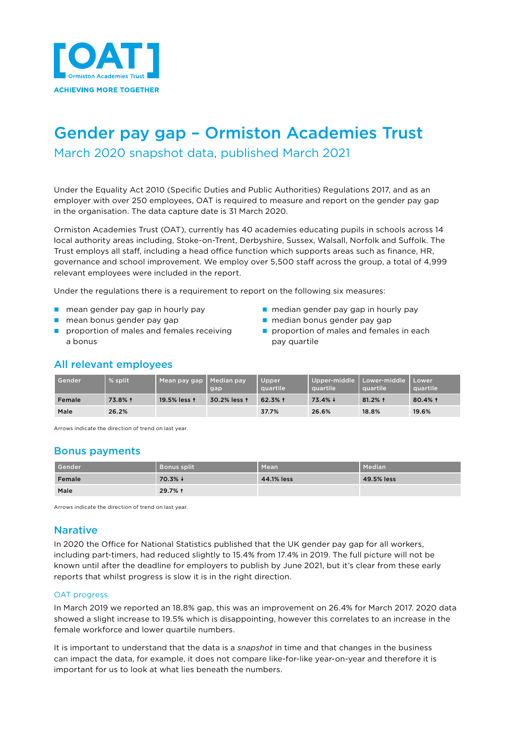

# Gender pay gap – Ormiston Academies Trust

March 2020 snapshot data, published March 2021

Under the Equality Act 2010 (Specific Duties and Public Authorities) Regulations 2017, and as an employer with over 250 employees, OAT is required to measure and report on the gender pay gap in the organisation. The data capture date is 31 March 2020.

Ormiston Academies Trust (OAT), currently has 40 academies educating pupils in schools across 14 local authority areas including, Stoke-on-Trent, Derbyshire, Sussex, Walsall, Norfolk and Suffolk. The Trust employs all staff, including a head office function which supports areas such as finance, HR, governance and school improvement. We employ over 5,500 staff across the group, a total of 4,999 relevant employees were included in the report.

Under the regulations there is a requirement to report on the following six measures:

- 
- 
- n proportion of males and females receiving  $\Box$  proportion of males and females in each a bonus **pay quartile**
- n mean gender pay gap in hourly pay n median gender pay gap in hourly pay
- n mean bonus gender pay gap n median bonus gender pay gap
	-

## All relevant employees

| Gender | $%$ split | Mean pay gap | Median pay<br>gap | Upper<br>auartile' | Upper-middle   Lower-middle<br><b><u>squartile</u></b> | quartile  | Lower <sup>®</sup><br>quartile |
|--------|-----------|--------------|-------------------|--------------------|--------------------------------------------------------|-----------|--------------------------------|
| Female | 73.8% 1   | 19.5% less 1 | 30.2% less 1      | 62.3% 1            | $73.4\% +$                                             | $81.2%$ 1 | $80.4%$ 1                      |
| Male   | 26.2%     |              |                   | 37.7%              | 26.6%                                                  | 18.8%     | 19.6%                          |

Arrows indicate the direction of trend on last year.

## Bonus payments

| Gender | <b>Bonus split</b> | Mean       | Median     |
|--------|--------------------|------------|------------|
| Female | $70.3\% +$         | 44.1% less | 49.5% less |
| Male   | 29.7% 1            |            |            |

Arrows indicate the direction of trend on last year.

## Narative

In 2020 the Office for National Statistics published that the UK gender pay gap for all workers, including part-timers, had reduced slightly to 15.4% from 17.4% in 2019. The full picture will not be known until after the deadline for employers to publish by June 2021, but it's clear from these early reports that whilst progress is slow it is in the right direction.

#### OAT progress

In March 2019 we reported an 18.8% gap, this was an improvement on 26.4% for March 2017. 2020 data showed a slight increase to 19.5% which is disappointing, however this correlates to an increase in the female workforce and lower quartile numbers.

It is important to understand that the data is a *snapshot* in time and that changes in the business can impact the data, for example, it does not compare like-for-like year-on-year and therefore it is important for us to look at what lies beneath the numbers.